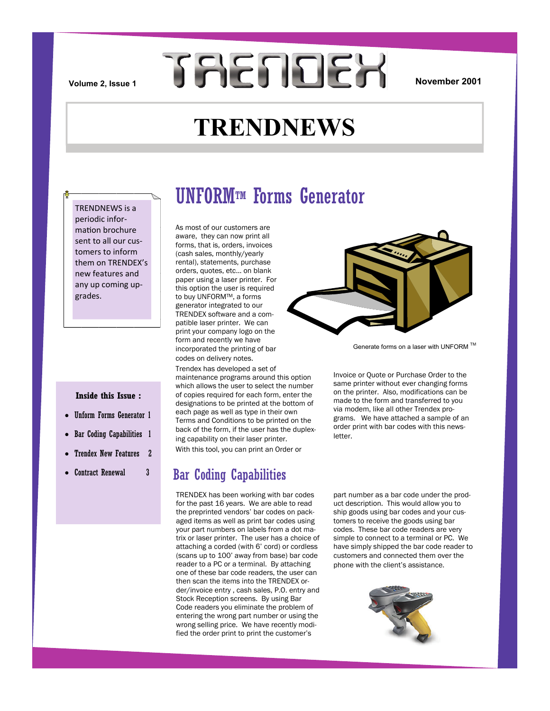**TAENDEX** 

### **November 2001**

## **TRENDNEWS**

TRENDNEWS is a periodic information brochure sent to all our customers to inform them on TRENDEX's new features and any up coming upgrades.

### **Inside this Issue :**

- Unform Forms Generator 1
- Bar Coding Capabilities 1
- Trendex New Features 2
- Contract Renewal 3

### UNFORMTM Forms Generator

As most of our customers are aware, they can now print all forms, that is, orders, invoices (cash sales, monthly/yearly rental), statements, purchase orders, quotes, etc… on blank paper using a laser printer. For this option the user is required to buy UNFORM™, a forms generator integrated to our TRENDEX software and a compatible laser printer. We can print your company logo on the form and recently we have incorporated the printing of bar codes on delivery notes.

Trendex has developed a set of maintenance programs around this option which allows the user to select the number of copies required for each form, enter the designations to be printed at the bottom of each page as well as type in their own Terms and Conditions to be printed on the back of the form, if the user has the duplexing capability on their laser printer.

With this tool, you can print an Order or

### Bar Coding Capabilities

TRENDEX has been working with bar codes for the past 16 years. We are able to read the preprinted vendors' bar codes on packaged items as well as print bar codes using your part numbers on labels from a dot matrix or laser printer. The user has a choice of attaching a corded (with 6' cord) or cordless (scans up to 100' away from base) bar code reader to a PC or a terminal. By attaching one of these bar code readers, the user can then scan the items into the TRENDEX order/invoice entry , cash sales, P.O. entry and Stock Reception screens. By using Bar Code readers you eliminate the problem of entering the wrong part number or using the wrong selling price. We have recently modified the order print to print the customer's



Generate forms on a laser with UNFORM ™

Invoice or Quote or Purchase Order to the same printer without ever changing forms on the printer. Also, modifications can be made to the form and transferred to you via modem, like all other Trendex programs. We have attached a sample of an order print with bar codes with this newsletter.

part number as a bar code under the product description. This would allow you to ship goods using bar codes and your customers to receive the goods using bar codes. These bar code readers are very simple to connect to a terminal or PC. We have simply shipped the bar code reader to customers and connected them over the phone with the client's assistance.

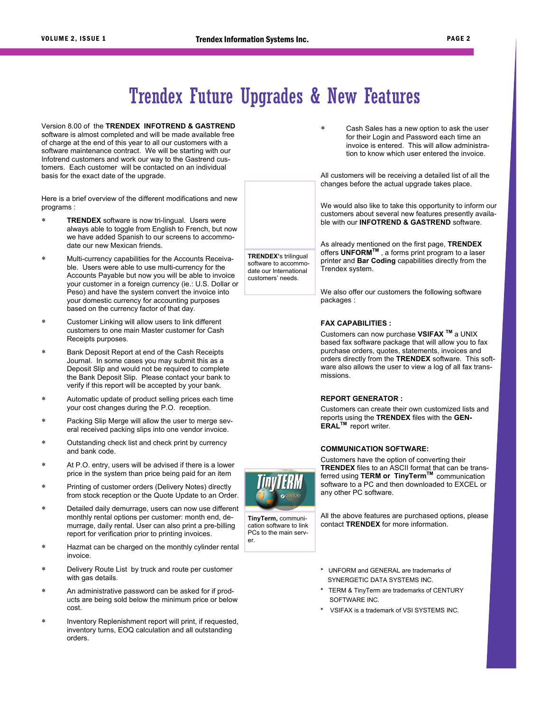## Trendex Future Upgrades & New Features

**TRENDEX'**s trilingual software to accommodate our International customers' needs.

Version 8.00 of the **TRENDEX INFOTREND & GASTREND**  software is almost completed and will be made available free of charge at the end of this year to all our customers with a software maintenance contract. We will be starting with our Infotrend customers and work our way to the Gastrend customers. Each customer will be contacted on an individual basis for the exact date of the upgrade.

Here is a brief overview of the different modifications and new programs :

- **TRENDEX** software is now tri-lingual. Users were always able to toggle from English to French, but now we have added Spanish to our screens to accommodate our new Mexican friends.
- Multi-currency capabilities for the Accounts Receivable. Users were able to use multi-currency for the Accounts Payable but now you will be able to invoice your customer in a foreign currency (ie.: U.S. Dollar or Peso) and have the system convert the invoice into your domestic currency for accounting purposes based on the currency factor of that day.
- Customer Linking will allow users to link different customers to one main Master customer for Cash Receipts purposes.
- Bank Deposit Report at end of the Cash Receipts Journal. In some cases you may submit this as a Deposit Slip and would not be required to complete the Bank Deposit Slip. Please contact your bank to verify if this report will be accepted by your bank.
- Automatic update of product selling prices each time your cost changes during the P.O. reception.
- Packing Slip Merge will allow the user to merge several received packing slips into one vendor invoice.
- Outstanding check list and check print by currency and bank code.
- At P.O. entry, users will be advised if there is a lower price in the system than price being paid for an item
- Printing of customer orders (Delivery Notes) directly from stock reception or the Quote Update to an Order.
- Detailed daily demurrage, users can now use different monthly rental options per customer: month end, demurrage, daily rental. User can also print a pre-billing report for verification prior to printing invoices.
- Hazmat can be charged on the monthly cylinder rental invoice.
- Delivery Route List by truck and route per customer with gas details.
- An administrative password can be asked for if products are being sold below the minimum price or below cost.
- Inventory Replenishment report will print, if requested, inventory turns, EOQ calculation and all outstanding orders.

 Cash Sales has a new option to ask the user for their Login and Password each time an invoice is entered. This will allow administration to know which user entered the invoice.

All customers will be receiving a detailed list of all the changes before the actual upgrade takes place.

We would also like to take this opportunity to inform our customers about several new features presently available with our **INFOTREND & GASTREND** software.

As already mentioned on the first page, **TRENDEX** offers **UNFORMTM** , a forms print program to a laser printer and **Bar Coding** capabilities directly from the Trendex system.

We also offer our customers the following software packages :

#### **FAX CAPABILITIES :**

Customers can now purchase **VSIFAX TM** a UNIX based fax software package that will allow you to fax purchase orders, quotes, statements, invoices and orders directly from the **TRENDEX** software. This software also allows the user to view a log of all fax transmissions.

### **REPORT GENERATOR :**

Customers can create their own customized lists and reports using the **TRENDEX** files with the **GEN-ERALTM** report writer.

#### **COMMUNICATION SOFTWARE:**

Customers have the option of converting their **TRENDEX** files to an ASCII format that can be transferred using **TERM or TinyTermTM** communication software to a PC and then downloaded to EXCEL or any other PC software.

All the above features are purchased options, please contact **TRENDEX** for more information.

- **\*** UNFORM and GENERAL are trademarks of SYNERGETIC DATA SYSTEMS INC.
- **\*** TERM & TinyTerm are trademarks of CENTURY SOFTWARE INC.
- **\*** VSIFAX is a trademark of VSI SYSTEMS INC.

**TinyTerm,** communication software to link PCs to the main server.